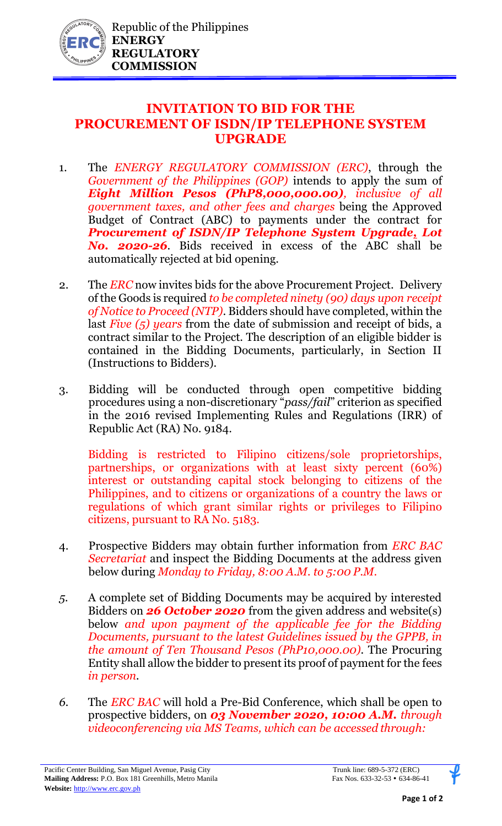

## **INVITATION TO BID FOR THE PROCUREMENT OF ISDN/IP TELEPHONE SYSTEM UPGRADE**

- 1. The *ENERGY REGULATORY COMMISSION (ERC)*, through the *Government of the Philippines (GOP)* intends to apply the sum of *Eight Million Pesos (PhP8,000,000.00), inclusive of all government taxes, and other fees and charges* being the Approved Budget of Contract (ABC) to payments under the contract for *Procurement of ISDN/IP Telephone System Upgrade, Lot No. 2020-26*. Bids received in excess of the ABC shall be automatically rejected at bid opening.
- 2. The *ERC* now invites bids for the above Procurement Project. Delivery of the Goods is required *to be completed ninety (90) days upon receipt of Notice to Proceed (NTP)*. Bidders should have completed, within the last *Five (5) years* from the date of submission and receipt of bids, a contract similar to the Project. The description of an eligible bidder is contained in the Bidding Documents, particularly, in Section II (Instructions to Bidders).
- 3. Bidding will be conducted through open competitive bidding procedures using a non-discretionary "*pass/fail*" criterion as specified in the 2016 revised Implementing Rules and Regulations (IRR) of Republic Act (RA) No. 9184.

Bidding is restricted to Filipino citizens/sole proprietorships, partnerships, or organizations with at least sixty percent (60%) interest or outstanding capital stock belonging to citizens of the Philippines, and to citizens or organizations of a country the laws or regulations of which grant similar rights or privileges to Filipino citizens, pursuant to RA No. 5183.

- 4. Prospective Bidders may obtain further information from *ERC BAC Secretariat* and inspect the Bidding Documents at the address given below during *Monday to Friday, 8:00 A.M. to 5:00 P.M*.
- *5.* A complete set of Bidding Documents may be acquired by interested Bidders on *26 October 2020* from the given address and website(s) below *and upon payment of the applicable fee for the Bidding Documents, pursuant to the latest Guidelines issued by the GPPB, in the amount of Ten Thousand Pesos (PhP10,000.00)*. The Procuring Entity shall allow the bidder to present its proof of payment for the fees *in person.*
- *6.* The *ERC BAC* will hold a Pre-Bid Conference, which shall be open to prospective bidders, on *03 November 2020, 10:00 A.M. through videoconferencing via MS Teams, which can be accessed through:*